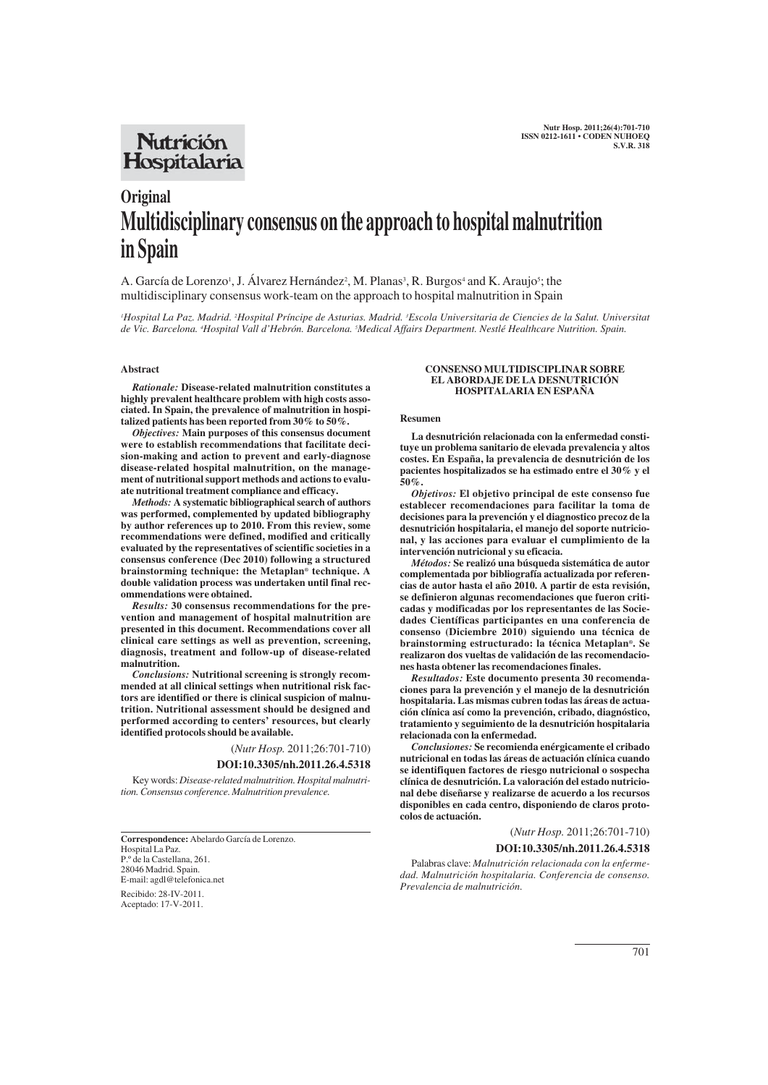## **Nutrición** Hospitalaria

# **Original Multidisciplinary consensus on the approach to hospital malnutrition in Spain**

A. García de Lorenzo<sup>1</sup>, J. Álvarez Hernández<sup>2</sup>, M. Planas<sup>3</sup>, R. Burgos<sup>4</sup> and K. Araujo<sup>5</sup>; the multidisciplinary consensus work-team on the approach to hospital malnutrition in Spain

<sup>1</sup>Hospital La Paz. Madrid. <sup>2</sup>Hospital Príncipe de Asturias. Madrid. <sup>3</sup>Escola Universitaria de Ciencies de la Salut. Universitai *de Vic. Barcelona. 4 Hospital Vall d'Hebrón. Barcelona. 5 Medical Affairs Department. Nestlé Healthcare Nutrition. Spain.*

## **Abstract**

*Rationale:* **Disease-related malnutrition constitutes a highly prevalent healthcare problem with high costs associated. In Spain, the prevalence of malnutrition in hospitalized patients has been reported from 30% to 50%.** 

*Objectives:* **Main purposes of this consensus document were to establish recommendations that facilitate decision-making and action to prevent and early-diagnose disease-related hospital malnutrition, on the management of nutritional support methods and actions to evaluate nutritional treatment compliance and efficacy.**

*Methods:* **A systematic bibliographical search of authors was performed, complemented by updated bibliography by author references up to 2010. From this review, some recommendations were defined, modified and critically evaluated by the representatives of scientific societies in a consensus conference (Dec 2010) following a structured brainstorming technique: the Metaplan® technique. A double validation process was undertaken until final recommendations were obtained.**

*Results:* **30 consensus recommendations for the prevention and management of hospital malnutrition are presented in this document. Recommendations cover all clinical care settings as well as prevention, screening, diagnosis, treatment and follow-up of disease-related malnutrition.**

*Conclusions:* **Nutritional screening is strongly recommended at all clinical settings when nutritional risk factors are identified or there is clinical suspicion of malnutrition. Nutritional assessment should be designed and performed according to centers' resources, but clearly identified protocols should be available.**

(*Nutr Hosp.* 2011;26:701-710)

#### **DOI:10.3305/nh.2011.26.4.5318**

Key words: *Disease-related malnutrition. Hospital malnutrition. Consensus conference. Malnutrition prevalence.*

**Correspondence:** Abelardo García de Lorenzo. Hospital La Paz. P.º de la Castellana, 261. 28046 Madrid. Spain. E-mail: agdl@telefonica.net

Recibido: 28-IV-2011. Aceptado: 17-V-2011.

#### **CONSENSO MULTIDISCIPLINAR SOBRE EL ABORDAJE DE LA DESNUTRICIÓN HOSPITALARIA EN ESPAÑA**

## **Resumen**

**La desnutrición relacionada con la enfermedad constituye un problema sanitario de elevada prevalencia y altos costes. En España, la prevalencia de desnutrición de los pacientes hospitalizados se ha estimado entre el 30% y el 50%.**

*Objetivos:* **El objetivo principal de este consenso fue establecer recomendaciones para facilitar la toma de decisiones para la prevención y el diagnostico precoz de la desnutrición hospitalaria, el manejo del soporte nutricional, y las acciones para evaluar el cumplimiento de la intervención nutricional y su eficacia.**

*Métodos:* **Se realizó una búsqueda sistemática de autor complementada por bibliografía actualizada por referencias de autor hasta el año 2010. A partir de esta revisión, se definieron algunas recomendaciones que fueron criticadas y modificadas por los representantes de las Sociedades Científicas participantes en una conferencia de consenso (Diciembre 2010) siguiendo una técnica de brainstorming estructurado: la técnica Metaplan®. Se realizaron dos vueltas de validación de las recomendaciones hasta obtener las recomendaciones finales.**

*Resultados:* **Este documento presenta 30 recomendaciones para la prevención y el manejo de la desnutrición hospitalaria. Las mismas cubren todas las áreas de actuación clínica así como la prevención, cribado, diagnóstico, tratamiento y seguimiento de la desnutrición hospitalaria relacionada con la enfermedad.**

*Conclusiones:* **Se recomienda enérgicamente el cribado nutricional en todas las áreas de actuación clínica cuando se identifiquen factores de riesgo nutricional o sospecha clínica de desnutrición. La valoración del estado nutricional debe diseñarse y realizarse de acuerdo a los recursos disponibles en cada centro, disponiendo de claros protocolos de actuación.**

## (*Nutr Hosp.* 2011;26:701-710) **DOI:10.3305/nh.2011.26.4.5318**

Palabras clave: *Malnutrición relacionada con la enfermedad. Malnutrición hospitalaria. Conferencia de consenso. Prevalencia de malnutrición.*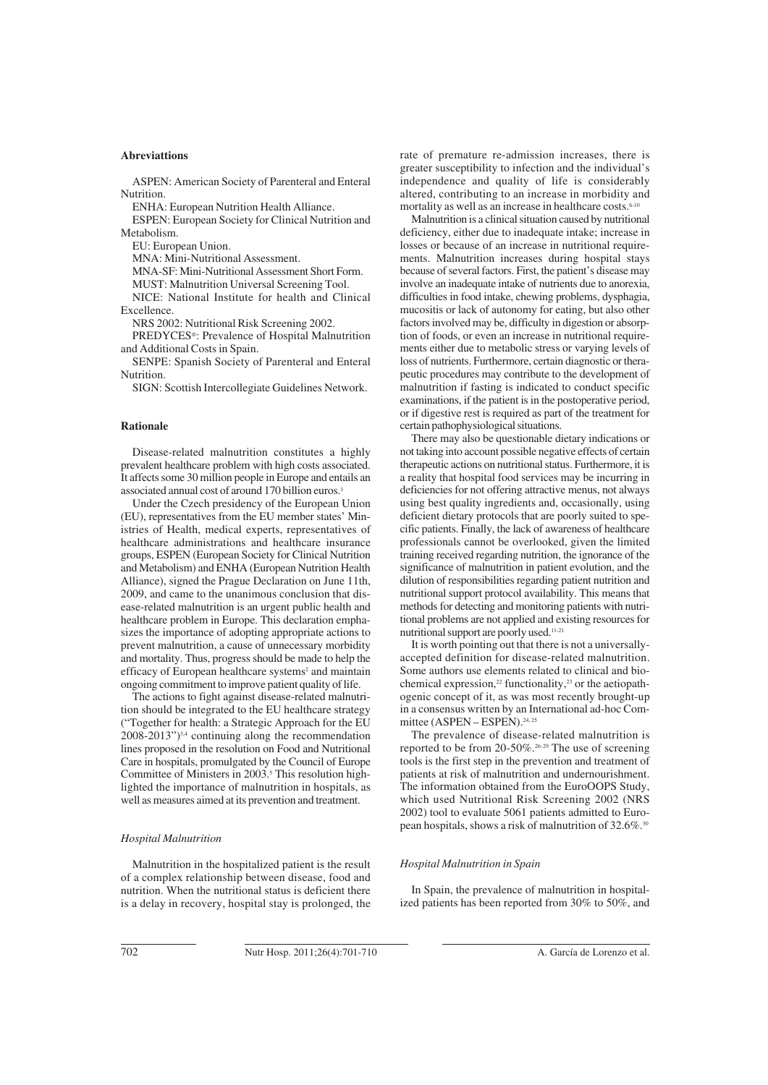## **Abreviattions**

ASPEN: American Society of Parenteral and Enteral **Nutrition** 

ENHA: European Nutrition Health Alliance.

ESPEN: European Society for Clinical Nutrition and Metabolism.

EU: European Union.

MNA: Mini-Nutritional Assessment.

MNA-SF: Mini-Nutritional Assessment Short Form.

MUST: Malnutrition Universal Screening Tool.

NICE: National Institute for health and Clinical Excellence.

NRS 2002: Nutritional Risk Screening 2002.

PREDYCES®: Prevalence of Hospital Malnutrition and Additional Costs in Spain.

SENPE: Spanish Society of Parenteral and Enteral Nutrition.

SIGN: Scottish Intercollegiate Guidelines Network.

#### **Rationale**

Disease-related malnutrition constitutes a highly prevalent healthcare problem with high costs associated. It affects some 30 million people in Europe and entails an associated annual cost of around 170 billion euros.<sup>1</sup>

Under the Czech presidency of the European Union (EU), representatives from the EU member states' Ministries of Health, medical experts, representatives of healthcare administrations and healthcare insurance groups, ESPEN (European Society for Clinical Nutrition and Metabolism) and ENHA (European Nutrition Health Alliance), signed the Prague Declaration on June 11th, 2009, and came to the unanimous conclusion that disease-related malnutrition is an urgent public health and healthcare problem in Europe. This declaration emphasizes the importance of adopting appropriate actions to prevent malnutrition, a cause of unnecessary morbidity and mortality. Thus, progress should be made to help the efficacy of European healthcare systems<sup>2</sup> and maintain ongoing commitment to improve patient quality of life.

The actions to fight against disease-related malnutrition should be integrated to the EU healthcare strategy ("Together for health: a Strategic Approach for the EU 2008-2013")3,4 continuing along the recommendation lines proposed in the resolution on Food and Nutritional Care in hospitals, promulgated by the Council of Europe Committee of Ministers in 2003.<sup>5</sup> This resolution highlighted the importance of malnutrition in hospitals, as well as measures aimed at its prevention and treatment.

## *Hospital Malnutrition*

Malnutrition in the hospitalized patient is the result of a complex relationship between disease, food and nutrition. When the nutritional status is deficient there is a delay in recovery, hospital stay is prolonged, the rate of premature re-admission increases, there is greater susceptibility to infection and the individual's independence and quality of life is considerably altered, contributing to an increase in morbidity and mortality as well as an increase in healthcare costs.<sup>6-10</sup>

Malnutrition is a clinical situation caused by nutritional deficiency, either due to inadequate intake; increase in losses or because of an increase in nutritional requirements. Malnutrition increases during hospital stays because of several factors. First, the patient's disease may involve an inadequate intake of nutrients due to anorexia, difficulties in food intake, chewing problems, dysphagia, mucositis or lack of autonomy for eating, but also other factors involved may be, difficulty in digestion or absorption of foods, or even an increase in nutritional requirements either due to metabolic stress or varying levels of loss of nutrients. Furthermore, certain diagnostic or therapeutic procedures may contribute to the development of malnutrition if fasting is indicated to conduct specific examinations, if the patient is in the postoperative period, or if digestive rest is required as part of the treatment for certain pathophysiological situations.

There may also be questionable dietary indications or not taking into account possible negative effects of certain therapeutic actions on nutritional status. Furthermore, it is a reality that hospital food services may be incurring in deficiencies for not offering attractive menus, not always using best quality ingredients and, occasionally, using deficient dietary protocols that are poorly suited to specific patients. Finally, the lack of awareness of healthcare professionals cannot be overlooked, given the limited training received regarding nutrition, the ignorance of the significance of malnutrition in patient evolution, and the dilution of responsibilities regarding patient nutrition and nutritional support protocol availability. This means that methods for detecting and monitoring patients with nutritional problems are not applied and existing resources for nutritional support are poorly used.11-21

It is worth pointing out that there is not a universallyaccepted definition for disease-related malnutrition. Some authors use elements related to clinical and biochemical expression,<sup>22</sup> functionality,<sup>23</sup> or the aetiopathogenic concept of it, as was most recently brought-up in a consensus written by an International ad-hoc Committee (ASPEN – ESPEN).<sup>24, 25</sup>

The prevalence of disease-related malnutrition is reported to be from 20-50%.26-29 The use of screening tools is the first step in the prevention and treatment of patients at risk of malnutrition and undernourishment. The information obtained from the EuroOOPS Study, which used Nutritional Risk Screening 2002 (NRS 2002) tool to evaluate 5061 patients admitted to European hospitals, shows a risk of malnutrition of 32.6%.30

#### *Hospital Malnutrition in Spain*

In Spain, the prevalence of malnutrition in hospitalized patients has been reported from 30% to 50%, and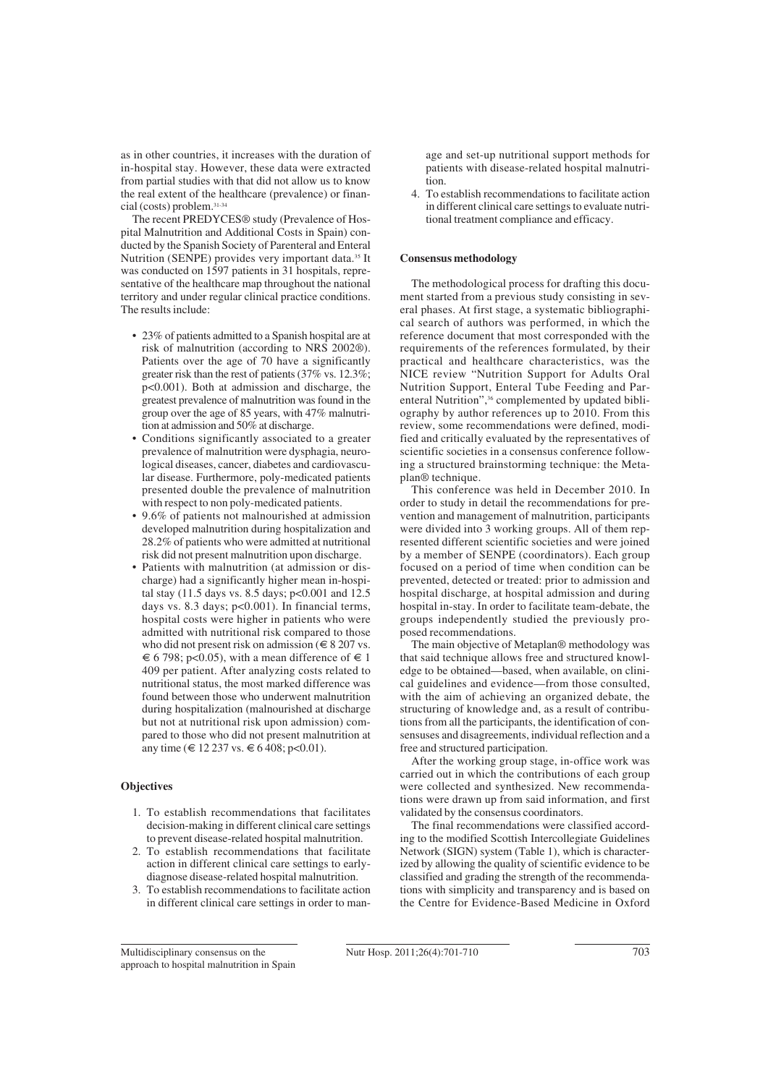as in other countries, it increases with the duration of in-hospital stay. However, these data were extracted from partial studies with that did not allow us to know the real extent of the healthcare (prevalence) or financial (costs) problem.31-34

The recent PREDYCES® study (Prevalence of Hospital Malnutrition and Additional Costs in Spain) conducted by the Spanish Society of Parenteral and Enteral Nutrition (SENPE) provides very important data.35 It was conducted on 1597 patients in 31 hospitals, representative of the healthcare map throughout the national territory and under regular clinical practice conditions. The results include:

- 23% of patients admitted to a Spanish hospital are at risk of malnutrition (according to NRS 2002®). Patients over the age of 70 have a significantly greater risk than the rest of patients (37% vs. 12.3%; p<0.001). Both at admission and discharge, the greatest prevalence of malnutrition was found in the group over the age of 85 years, with 47% malnutrition at admission and 50% at discharge.
- Conditions significantly associated to a greater prevalence of malnutrition were dysphagia, neurological diseases, cancer, diabetes and cardiovascular disease. Furthermore, poly-medicated patients presented double the prevalence of malnutrition with respect to non poly-medicated patients.
- 9.6% of patients not malnourished at admission developed malnutrition during hospitalization and 28.2% of patients who were admitted at nutritional risk did not present malnutrition upon discharge.
- Patients with malnutrition (at admission or discharge) had a significantly higher mean in-hospital stay (11.5 days vs. 8.5 days; p<0.001 and 12.5 days vs. 8.3 days; p<0.001). In financial terms, hospital costs were higher in patients who were admitted with nutritional risk compared to those who did not present risk on admission ( $\in$  8 207 vs.  $\epsilon$  6 798; p<0.05), with a mean difference of  $\epsilon$  1 409 per patient. After analyzing costs related to nutritional status, the most marked difference was found between those who underwent malnutrition during hospitalization (malnourished at discharge but not at nutritional risk upon admission) compared to those who did not present malnutrition at any time ( $\in$  12 237 vs.  $\in$  6 408; p<0.01).

## **Objectives**

- 1. To establish recommendations that facilitates decision-making in different clinical care settings to prevent disease-related hospital malnutrition.
- 2. To establish recommendations that facilitate action in different clinical care settings to earlydiagnose disease-related hospital malnutrition.
- 3. To establish recommendations to facilitate action in different clinical care settings in order to man-

age and set-up nutritional support methods for patients with disease-related hospital malnutrition.

4. To establish recommendations to facilitate action in different clinical care settings to evaluate nutritional treatment compliance and efficacy.

## **Consensus methodology**

The methodological process for drafting this document started from a previous study consisting in several phases. At first stage, a systematic bibliographical search of authors was performed, in which the reference document that most corresponded with the requirements of the references formulated, by their practical and healthcare characteristics, was the NICE review "Nutrition Support for Adults Oral Nutrition Support, Enteral Tube Feeding and Parenteral Nutrition",<sup>36</sup> complemented by updated bibliography by author references up to 2010. From this review, some recommendations were defined, modified and critically evaluated by the representatives of scientific societies in a consensus conference following a structured brainstorming technique: the Metaplan® technique.

This conference was held in December 2010. In order to study in detail the recommendations for prevention and management of malnutrition, participants were divided into 3 working groups. All of them represented different scientific societies and were joined by a member of SENPE (coordinators). Each group focused on a period of time when condition can be prevented, detected or treated: prior to admission and hospital discharge, at hospital admission and during hospital in-stay. In order to facilitate team-debate, the groups independently studied the previously proposed recommendations.

The main objective of Metaplan® methodology was that said technique allows free and structured knowledge to be obtained—based, when available, on clinical guidelines and evidence—from those consulted, with the aim of achieving an organized debate, the structuring of knowledge and, as a result of contributions from all the participants, the identification of consensuses and disagreements, individual reflection and a free and structured participation.

After the working group stage, in-office work was carried out in which the contributions of each group were collected and synthesized. New recommendations were drawn up from said information, and first validated by the consensus coordinators.

The final recommendations were classified according to the modified Scottish Intercollegiate Guidelines Network (SIGN) system (Table 1), which is characterized by allowing the quality of scientific evidence to be classified and grading the strength of the recommendations with simplicity and transparency and is based on the Centre for Evidence-Based Medicine in Oxford

Multidisciplinary consensus on the approach to hospital malnutrition in Spain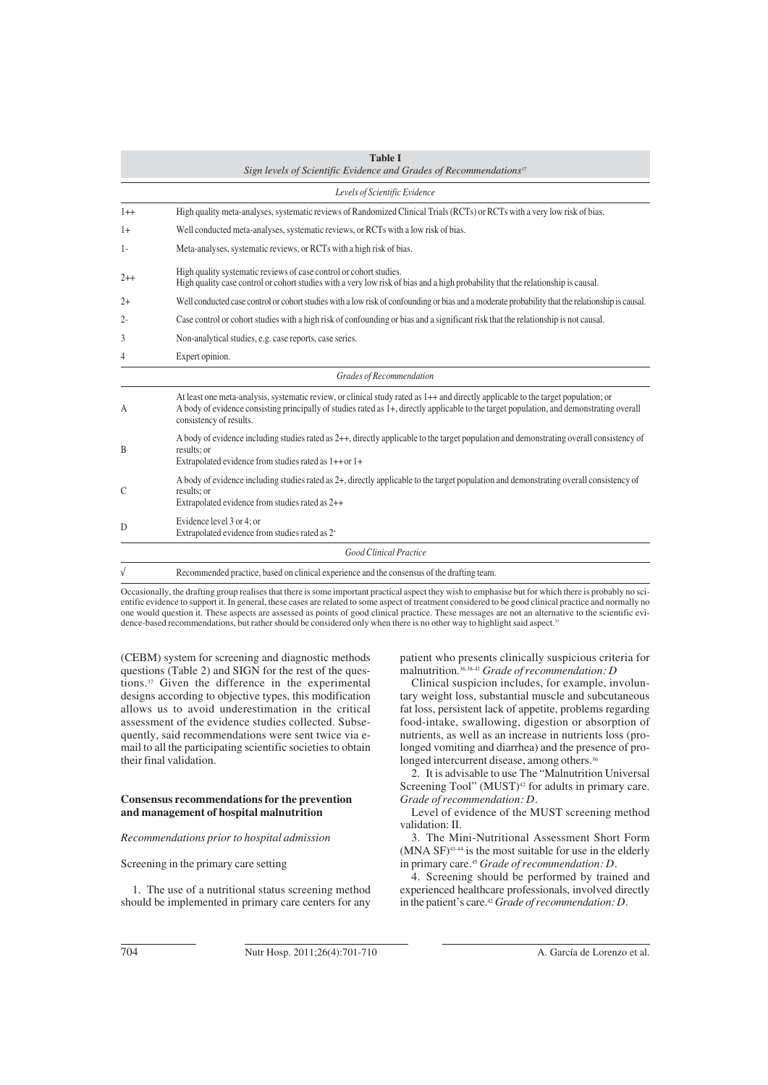| <b>Table I</b><br>Sign levels of Scientific Evidence and Grades of Recommendations <sup>37</sup> |                                                                                                                                                                                                                                                                                                            |  |  |
|--------------------------------------------------------------------------------------------------|------------------------------------------------------------------------------------------------------------------------------------------------------------------------------------------------------------------------------------------------------------------------------------------------------------|--|--|
|                                                                                                  | Levels of Scientific Evidence                                                                                                                                                                                                                                                                              |  |  |
| $1++$                                                                                            | High quality meta-analyses, systematic reviews of Randomized Clinical Trials (RCTs) or RCTs with a very low risk of bias.                                                                                                                                                                                  |  |  |
| $1+$                                                                                             | Well conducted meta-analyses, systematic reviews, or RCTs with a low risk of bias.                                                                                                                                                                                                                         |  |  |
| $1-$                                                                                             | Meta-analyses, systematic reviews, or RCTs with a high risk of bias.                                                                                                                                                                                                                                       |  |  |
| $2++$                                                                                            | High quality systematic reviews of case control or cohort studies.<br>High quality case control or cohort studies with a very low risk of bias and a high probability that the relationship is causal.                                                                                                     |  |  |
| $2+$                                                                                             | Well conducted case control or cohort studies with a low risk of confounding or bias and a moderate probability that the relationship is causal.                                                                                                                                                           |  |  |
| $2 -$                                                                                            | Case control or cohort studies with a high risk of confounding or bias and a significant risk that the relationship is not causal.                                                                                                                                                                         |  |  |
| 3                                                                                                | Non-analytical studies, e.g. case reports, case series.                                                                                                                                                                                                                                                    |  |  |
| 4                                                                                                | Expert opinion.                                                                                                                                                                                                                                                                                            |  |  |
|                                                                                                  | Grades of Recommendation                                                                                                                                                                                                                                                                                   |  |  |
| А                                                                                                | At least one meta-analysis, systematic review, or clinical study rated as 1++ and directly applicable to the target population; or<br>A body of evidence consisting principally of studies rated as 1+, directly applicable to the target population, and demonstrating overall<br>consistency of results. |  |  |
| B                                                                                                | A body of evidence including studies rated as 2++, directly applicable to the target population and demonstrating overall consistency of<br>results: or<br>Extrapolated evidence from studies rated as 1++ or 1+                                                                                           |  |  |
| C                                                                                                | A body of evidence including studies rated as 2+, directly applicable to the target population and demonstrating overall consistency of<br>results: or<br>Extrapolated evidence from studies rated as 2++                                                                                                  |  |  |
| D                                                                                                | Evidence level 3 or 4; or<br>Extrapolated evidence from studies rated as 2 <sup>+</sup>                                                                                                                                                                                                                    |  |  |
|                                                                                                  | <b>Good Clinical Practice</b>                                                                                                                                                                                                                                                                              |  |  |
|                                                                                                  | Recommended practice, based on clinical experience and the consensus of the drafting team.                                                                                                                                                                                                                 |  |  |

Occasionally, the drafting group realises that there is some important practical aspect they wish to emphasise but for which there is probably no scientific evidence to support it. In general, these cases are related to some aspect of treatment considered to be good clinical practice and normally no one would question it. These aspects are assessed as points of good clinical practice. These messages are not an alternative to the scientific evidence-based recommendations, but rather should be considered only when there is no other way to highlight said aspect.<sup>37</sup>

(CEBM) system for screening and diagnostic methods questions (Table 2) and SIGN for the rest of the questions.37 Given the difference in the experimental designs according to objective types, this modification allows us to avoid underestimation in the critical assessment of the evidence studies collected. Subsequently, said recommendations were sent twice via email to all the participating scientific societies to obtain their final validation.

## **Consensus recommendations for the prevention and management of hospital malnutrition**

## *Recommendations prior to hospital admission*

Screening in the primary care setting

1. The use of a nutritional status screening method should be implemented in primary care centers for any patient who presents clinically suspicious criteria for malnutrition.36,38-41 *Grade of recommendation: D*

Clinical suspicion includes, for example, involuntary weight loss, substantial muscle and subcutaneous fat loss, persistent lack of appetite, problems regarding food-intake, swallowing, digestion or absorption of nutrients, as well as an increase in nutrients loss (prolonged vomiting and diarrhea) and the presence of prolonged intercurrent disease, among others.<sup>36</sup>

2. It is advisable to use The "Malnutrition Universal Screening Tool"  $(MUST)^{42}$  for adults in primary care. *Grade of recommendation: D.*

Level of evidence of the MUST screening method validation: II.

3. The Mini-Nutritional Assessment Short Form  $(MNA SF)^{43.44}$  is the most suitable for use in the elderly in primary care.45 *Grade of recommendation: D.*

4. Screening should be performed by trained and experienced healthcare professionals, involved directly in the patient's care.42 *Grade of recommendation: D.*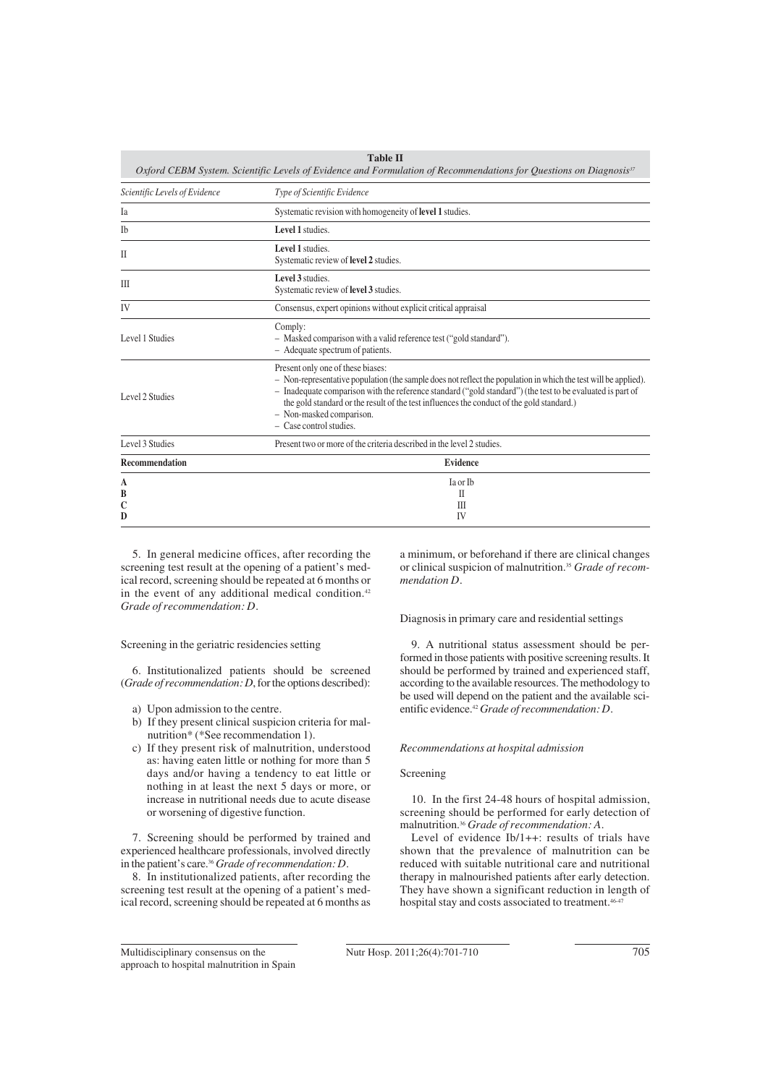| <b>Table II</b><br>Oxford CEBM System. Scientific Levels of Evidence and Formulation of Recommendations for Questions on Diagnosis <sup>37</sup> |                                                                                                                                                                                                                                                                                                                                                                                                                          |  |  |
|--------------------------------------------------------------------------------------------------------------------------------------------------|--------------------------------------------------------------------------------------------------------------------------------------------------------------------------------------------------------------------------------------------------------------------------------------------------------------------------------------------------------------------------------------------------------------------------|--|--|
| Scientific Levels of Evidence                                                                                                                    | Type of Scientific Evidence                                                                                                                                                                                                                                                                                                                                                                                              |  |  |
| Ia                                                                                                                                               | Systematic revision with homogeneity of <b>level 1</b> studies.                                                                                                                                                                                                                                                                                                                                                          |  |  |
| Ib                                                                                                                                               | Level 1 studies.                                                                                                                                                                                                                                                                                                                                                                                                         |  |  |
| $\mathbf{I}$                                                                                                                                     | Level 1 studies.<br>Systematic review of level 2 studies.                                                                                                                                                                                                                                                                                                                                                                |  |  |
| Ш                                                                                                                                                | Level 3 studies<br>Systematic review of level 3 studies.                                                                                                                                                                                                                                                                                                                                                                 |  |  |
| IV                                                                                                                                               | Consensus, expert opinions without explicit critical appraisal                                                                                                                                                                                                                                                                                                                                                           |  |  |
| Level 1 Studies                                                                                                                                  | Comply:<br>- Masked comparison with a valid reference test ("gold standard").<br>- Adequate spectrum of patients.                                                                                                                                                                                                                                                                                                        |  |  |
| Level 2 Studies                                                                                                                                  | Present only one of these biases:<br>- Non-representative population (the sample does not reflect the population in which the test will be applied).<br>- Inadequate comparison with the reference standard ("gold standard") (the test to be evaluated is part of<br>the gold standard or the result of the test influences the conduct of the gold standard.)<br>- Non-masked comparison.<br>$-$ Case control studies. |  |  |
| Level 3 Studies                                                                                                                                  | Present two or more of the criteria described in the level 2 studies.                                                                                                                                                                                                                                                                                                                                                    |  |  |
| <b>Recommendation</b>                                                                                                                            | <b>Evidence</b>                                                                                                                                                                                                                                                                                                                                                                                                          |  |  |
| A<br>B                                                                                                                                           | Ia or Ib<br>П                                                                                                                                                                                                                                                                                                                                                                                                            |  |  |
| C<br>D                                                                                                                                           | Ш<br>IV                                                                                                                                                                                                                                                                                                                                                                                                                  |  |  |

5. In general medicine offices, after recording the screening test result at the opening of a patient's medical record, screening should be repeated at 6 months or in the event of any additional medical condition.<sup>42</sup> *Grade of recommendation: D.*

Screening in the geriatric residencies setting

6. Institutionalized patients should be screened (*Grade of recommendation: D*, for the options described):

- a) Upon admission to the centre.
- b) If they present clinical suspicion criteria for malnutrition\* (\*See recommendation 1).
- c) If they present risk of malnutrition, understood as: having eaten little or nothing for more than 5 days and/or having a tendency to eat little or nothing in at least the next 5 days or more, or increase in nutritional needs due to acute disease or worsening of digestive function.

7. Screening should be performed by trained and experienced healthcare professionals, involved directly in the patient's care.36 *Grade of recommendation: D.*

8. In institutionalized patients, after recording the screening test result at the opening of a patient's medical record, screening should be repeated at 6 months as a minimum, or beforehand if there are clinical changes or clinical suspicion of malnutrition.35 *Grade of recommendation D.*

Diagnosis in primary care and residential settings

9. A nutritional status assessment should be performed in those patients with positive screening results. It should be performed by trained and experienced staff, according to the available resources. The methodology to be used will depend on the patient and the available scientific evidence.42 *Grade of recommendation: D.*

## *Recommendations at hospital admission*

## Screening

10. In the first 24-48 hours of hospital admission, screening should be performed for early detection of malnutrition.36 *Grade of recommendation: A.*

Level of evidence Ib/1++: results of trials have shown that the prevalence of malnutrition can be reduced with suitable nutritional care and nutritional therapy in malnourished patients after early detection. They have shown a significant reduction in length of hospital stay and costs associated to treatment.<sup>46-</sup>

Multidisciplinary consensus on the approach to hospital malnutrition in Spain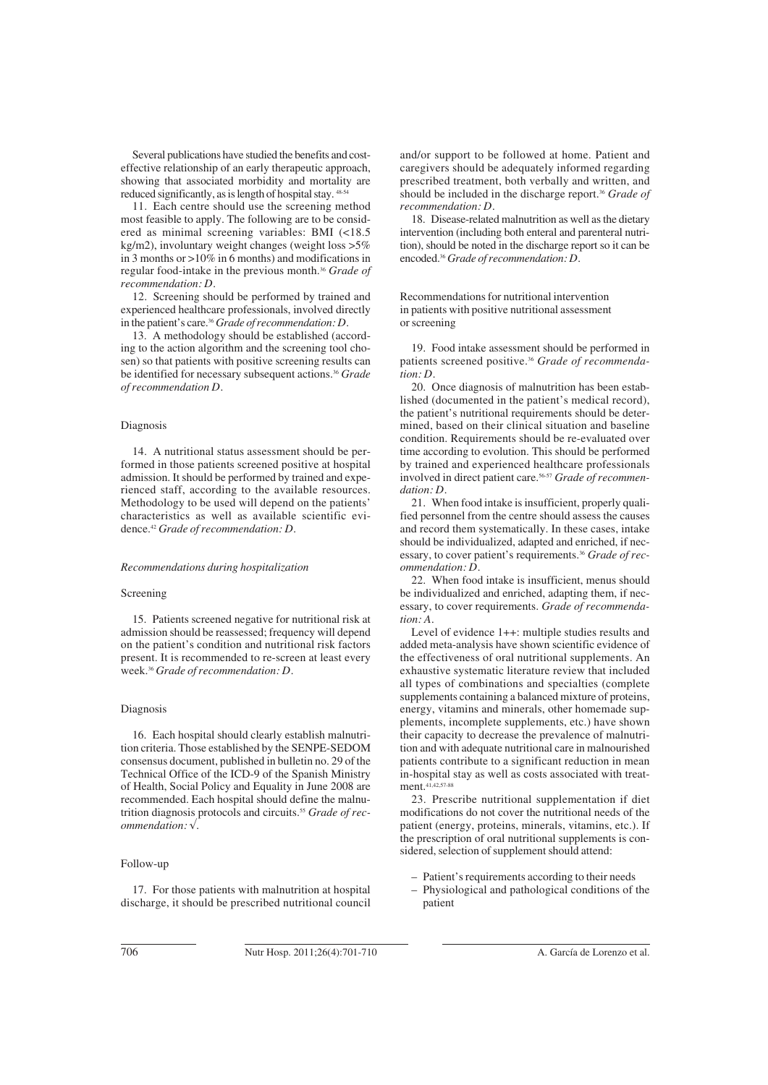Several publications have studied the benefits and costeffective relationship of an early therapeutic approach, showing that associated morbidity and mortality are reduced significantly, as is length of hospital stay.  $48-54$ 

11. Each centre should use the screening method most feasible to apply. The following are to be considered as minimal screening variables: BMI (<18.5 kg/m2), involuntary weight changes (weight loss >5% in 3 months or >10% in 6 months) and modifications in regular food-intake in the previous month.36 *Grade of recommendation: D.*

12. Screening should be performed by trained and experienced healthcare professionals, involved directly in the patient's care.36 *Grade of recommendation: D.*

13. A methodology should be established (according to the action algorithm and the screening tool chosen) so that patients with positive screening results can be identified for necessary subsequent actions.36 *Grade of recommendation D.*

## Diagnosis

14. A nutritional status assessment should be performed in those patients screened positive at hospital admission. It should be performed by trained and experienced staff, according to the available resources. Methodology to be used will depend on the patients' characteristics as well as available scientific evidence.42 *Grade of recommendation: D.*

#### *Recommendations during hospitalization*

## Screening

15. Patients screened negative for nutritional risk at admission should be reassessed; frequency will depend on the patient's condition and nutritional risk factors present. It is recommended to re-screen at least every week.36 *Grade of recommendation: D.*

## Diagnosis

16. Each hospital should clearly establish malnutrition criteria. Those established by the SENPE-SEDOM consensus document, published in bulletin no. 29 of the Technical Office of the ICD-9 of the Spanish Ministry of Health, Social Policy and Equality in June 2008 are recommended. Each hospital should define the malnutrition diagnosis protocols and circuits.55 *Grade of recommendation: √.*

#### Follow-up

17. For those patients with malnutrition at hospital discharge, it should be prescribed nutritional council and/or support to be followed at home. Patient and caregivers should be adequately informed regarding prescribed treatment, both verbally and written, and should be included in the discharge report.36 *Grade of recommendation: D.*

18. Disease-related malnutrition as well as the dietary intervention (including both enteral and parenteral nutrition), should be noted in the discharge report so it can be encoded.36 *Grade of recommendation: D.*

Recommendations for nutritional intervention in patients with positive nutritional assessment or screening

19. Food intake assessment should be performed in patients screened positive.36 *Grade of recommendation: D.*

20. Once diagnosis of malnutrition has been established (documented in the patient's medical record), the patient's nutritional requirements should be determined, based on their clinical situation and baseline condition. Requirements should be re-evaluated over time according to evolution. This should be performed by trained and experienced healthcare professionals involved in direct patient care.56-57 *Grade of recommendation: D.*

21. When food intake is insufficient, properly qualified personnel from the centre should assess the causes and record them systematically. In these cases, intake should be individualized, adapted and enriched, if necessary, to cover patient's requirements.36 *Grade of recommendation: D.*

22. When food intake is insufficient, menus should be individualized and enriched, adapting them, if necessary, to cover requirements. *Grade of recommendation: A.*

Level of evidence 1++: multiple studies results and added meta-analysis have shown scientific evidence of the effectiveness of oral nutritional supplements. An exhaustive systematic literature review that included all types of combinations and specialties (complete supplements containing a balanced mixture of proteins, energy, vitamins and minerals, other homemade supplements, incomplete supplements, etc.) have shown their capacity to decrease the prevalence of malnutrition and with adequate nutritional care in malnourished patients contribute to a significant reduction in mean in-hospital stay as well as costs associated with treatment.<sup>41,42,57-88</sup>

23. Prescribe nutritional supplementation if diet modifications do not cover the nutritional needs of the patient (energy, proteins, minerals, vitamins, etc.). If the prescription of oral nutritional supplements is considered, selection of supplement should attend:

- Patient's requirements according to their needs
- Physiological and pathological conditions of the patient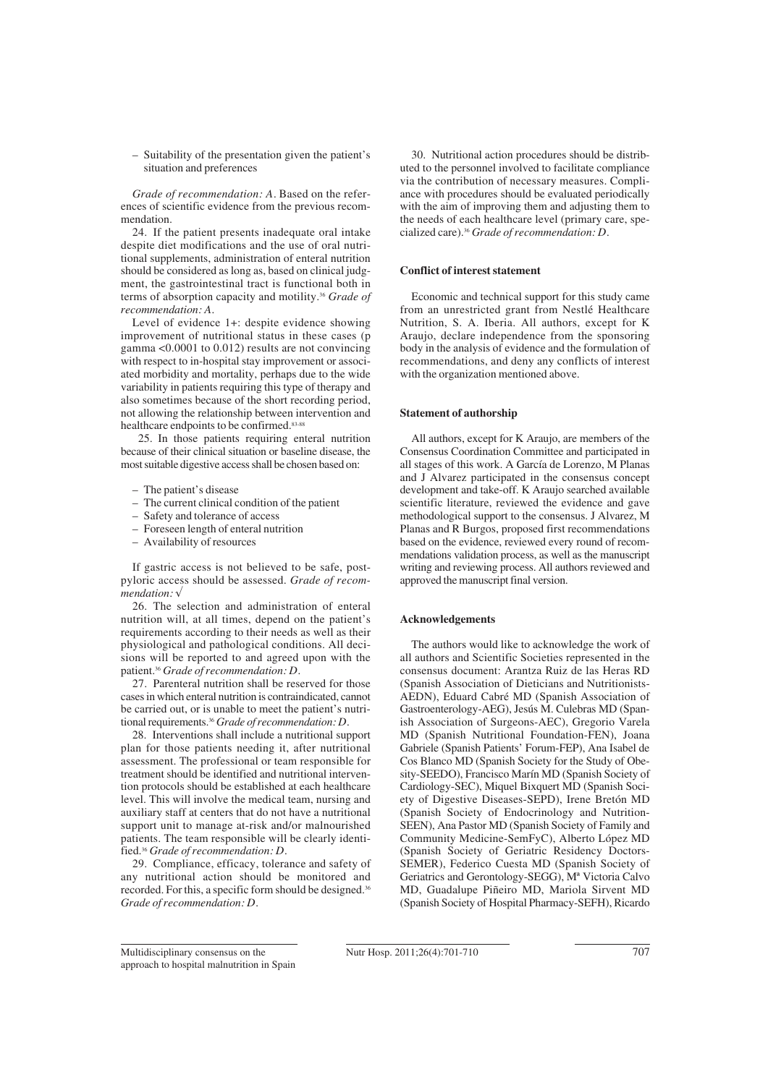– Suitability of the presentation given the patient's situation and preferences

*Grade of recommendation: A.* Based on the references of scientific evidence from the previous recommendation.

24. If the patient presents inadequate oral intake despite diet modifications and the use of oral nutritional supplements, administration of enteral nutrition should be considered as long as, based on clinical judgment, the gastrointestinal tract is functional both in terms of absorption capacity and motility.36 *Grade of recommendation: A.*

Level of evidence 1+: despite evidence showing improvement of nutritional status in these cases (p gamma <0.0001 to 0.012) results are not convincing with respect to in-hospital stay improvement or associated morbidity and mortality, perhaps due to the wide variability in patients requiring this type of therapy and also sometimes because of the short recording period, not allowing the relationship between intervention and healthcare endpoints to be confirmed.<sup>83-88</sup>

25. In those patients requiring enteral nutrition because of their clinical situation or baseline disease, the most suitable digestive access shall be chosen based on:

- The patient's disease
- The current clinical condition of the patient
- Safety and tolerance of access
- Foreseen length of enteral nutrition
- Availability of resources

If gastric access is not believed to be safe, postpyloric access should be assessed. *Grade of recommendation: √*

26. The selection and administration of enteral nutrition will, at all times, depend on the patient's requirements according to their needs as well as their physiological and pathological conditions. All decisions will be reported to and agreed upon with the patient.36 *Grade of recommendation: D.*

27. Parenteral nutrition shall be reserved for those cases in which enteral nutrition is contraindicated, cannot be carried out, or is unable to meet the patient's nutritional requirements.36 *Grade of recommendation: D.*

28. Interventions shall include a nutritional support plan for those patients needing it, after nutritional assessment. The professional or team responsible for treatment should be identified and nutritional intervention protocols should be established at each healthcare level. This will involve the medical team, nursing and auxiliary staff at centers that do not have a nutritional support unit to manage at-risk and/or malnourished patients. The team responsible will be clearly identified.36 *Grade of recommendation: D.*

29. Compliance, efficacy, tolerance and safety of any nutritional action should be monitored and recorded. For this, a specific form should be designed.36 *Grade of recommendation: D.*

30. Nutritional action procedures should be distributed to the personnel involved to facilitate compliance via the contribution of necessary measures. Compliance with procedures should be evaluated periodically with the aim of improving them and adjusting them to the needs of each healthcare level (primary care, specialized care).36 *Grade of recommendation: D.*

#### **Conflict of interest statement**

Economic and technical support for this study came from an unrestricted grant from Nestlé Healthcare Nutrition, S. A. Iberia. All authors, except for K Araujo, declare independence from the sponsoring body in the analysis of evidence and the formulation of recommendations, and deny any conflicts of interest with the organization mentioned above.

## **Statement of authorship**

All authors, except for K Araujo, are members of the Consensus Coordination Committee and participated in all stages of this work. A García de Lorenzo, M Planas and J Alvarez participated in the consensus concept development and take-off. K Araujo searched available scientific literature, reviewed the evidence and gave methodological support to the consensus. J Alvarez, M Planas and R Burgos, proposed first recommendations based on the evidence, reviewed every round of recommendations validation process, as well as the manuscript writing and reviewing process. All authors reviewed and approved the manuscript final version.

#### **Acknowledgements**

The authors would like to acknowledge the work of all authors and Scientific Societies represented in the consensus document: Arantza Ruiz de las Heras RD (Spanish Association of Dieticians and Nutritionists-AEDN), Eduard Cabré MD (Spanish Association of Gastroenterology-AEG), Jesús M. Culebras MD (Spanish Association of Surgeons-AEC), Gregorio Varela MD (Spanish Nutritional Foundation-FEN), Joana Gabriele (Spanish Patients' Forum-FEP), Ana Isabel de Cos Blanco MD (Spanish Society for the Study of Obesity-SEEDO), Francisco Marín MD (Spanish Society of Cardiology-SEC), Miquel Bixquert MD (Spanish Society of Digestive Diseases-SEPD), Irene Bretón MD (Spanish Society of Endocrinology and Nutrition-SEEN), Ana Pastor MD (Spanish Society of Family and Community Medicine-SemFyC), Alberto López MD (Spanish Society of Geriatric Residency Doctors-SEMER), Federico Cuesta MD (Spanish Society of Geriatrics and Gerontology-SEGG), Mª Victoria Calvo MD, Guadalupe Piñeiro MD, Mariola Sirvent MD (Spanish Society of Hospital Pharmacy-SEFH), Ricardo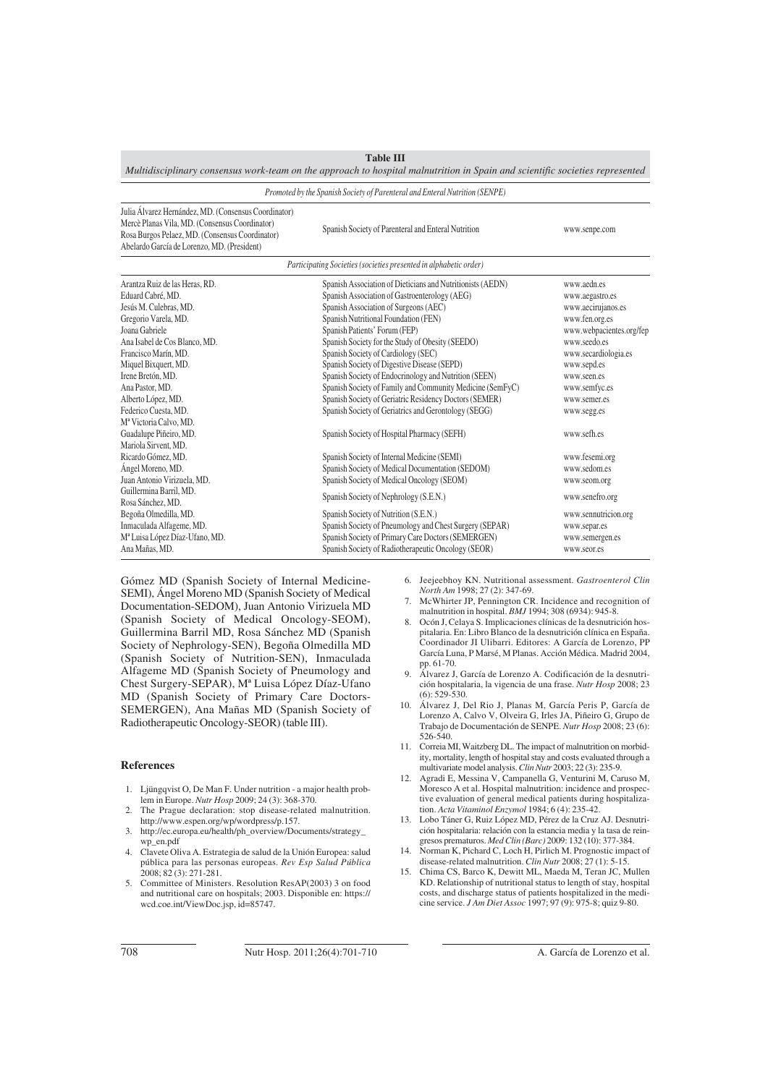| Multidisciplinary consensus work-team on the approach to hospital malnutrition in Spain and scientific societies represented                                                                                                                                                                                                         |                                                                                                                                                                                                                                                                                                                                                                                                                                                                                                                                                                                                                 |                                                                                                                                                                                                                          |  |  |
|--------------------------------------------------------------------------------------------------------------------------------------------------------------------------------------------------------------------------------------------------------------------------------------------------------------------------------------|-----------------------------------------------------------------------------------------------------------------------------------------------------------------------------------------------------------------------------------------------------------------------------------------------------------------------------------------------------------------------------------------------------------------------------------------------------------------------------------------------------------------------------------------------------------------------------------------------------------------|--------------------------------------------------------------------------------------------------------------------------------------------------------------------------------------------------------------------------|--|--|
| Promoted by the Spanish Society of Parenteral and Enteral Nutrition (SENPE)                                                                                                                                                                                                                                                          |                                                                                                                                                                                                                                                                                                                                                                                                                                                                                                                                                                                                                 |                                                                                                                                                                                                                          |  |  |
| Julia Álvarez Hernández, MD. (Consensus Coordinator)<br>Mercè Planas Vila, MD. (Consensus Coordinator)<br>Rosa Burgos Pelaez, MD. (Consensus Coordinator)<br>Abelardo García de Lorenzo, MD. (President)                                                                                                                             | Spanish Society of Parenteral and Enteral Nutrition                                                                                                                                                                                                                                                                                                                                                                                                                                                                                                                                                             | www.senpe.com                                                                                                                                                                                                            |  |  |
|                                                                                                                                                                                                                                                                                                                                      | Participating Societies (societies presented in alphabetic order)                                                                                                                                                                                                                                                                                                                                                                                                                                                                                                                                               |                                                                                                                                                                                                                          |  |  |
| Arantza Ruiz de las Heras, RD.<br>Eduard Cabré, MD.<br>Jesús M. Culebras, MD.<br>Gregorio Varela, MD.<br>Joana Gabriele<br>Ana Isabel de Cos Blanco, MD.<br>Francisco Marín, MD.<br>Miquel Bixquert, MD.<br>Irene Bretón, MD.<br>Ana Pastor, MD.<br>Alberto López, MD.<br>Federico Cuesta, MD.<br>M <sup>ª</sup> Victoria Calvo, MD. | Spanish Association of Dieticians and Nutritionists (AEDN)<br>Spanish Association of Gastroenterology (AEG)<br>Spanish Association of Surgeons (AEC)<br>Spanish Nutritional Foundation (FEN)<br>Spanish Patients' Forum (FEP)<br>Spanish Society for the Study of Obesity (SEEDO)<br>Spanish Society of Cardiology (SEC)<br>Spanish Society of Digestive Disease (SEPD)<br>Spanish Society of Endocrinology and Nutrition (SEEN)<br>Spanish Society of Family and Community Medicine (SemFyC)<br>Spanish Society of Geriatric Residency Doctors (SEMER)<br>Spanish Society of Geriatrics and Gerontology (SEGG) | www.aedn.es<br>www.aegastro.es<br>www.aecirujanos.es<br>www.fen.org.es<br>www.webpacientes.org/fep<br>www.seedo.es<br>www.secardiologia.es<br>www.sepd.es<br>www.seen.es<br>www.semfyc.es<br>www.semer.es<br>www.segg.es |  |  |
| Guadalupe Piñeiro, MD.<br>Mariola Sirvent, MD.<br>Ricardo Gómez, MD.<br>Ángel Moreno, MD.<br>Juan Antonio Virizuela, MD.<br>Guillermina Barril, MD.<br>Rosa Sánchez, MD.<br>Begoña Olmedilla, MD.<br>Inmaculada Alfageme, MD.<br>Mª Luisa López Díaz-Ufano, MD.<br>Ana Mañas, MD.                                                    | Spanish Society of Hospital Pharmacy (SEFH)<br>Spanish Society of Internal Medicine (SEMI)<br>Spanish Society of Medical Documentation (SEDOM)<br>Spanish Society of Medical Oncology (SEOM)<br>Spanish Society of Nephrology (S.E.N.)<br>Spanish Society of Nutrition (S.E.N.)<br>Spanish Society of Pneumology and Chest Surgery (SEPAR)<br>Spanish Society of Primary Care Doctors (SEMERGEN)<br>Spanish Society of Radiotherapeutic Oncology (SEOR)                                                                                                                                                         | www.sefh.es<br>www.fesemi.org<br>www.sedom.es<br>www.seom.org<br>www.senefro.org<br>www.sennutricion.org<br>www.separ.es<br>www.semergen.es<br>www.seor.es                                                               |  |  |

**Table III**

Gómez MD (Spanish Society of Internal Medicine-SEMI), Ángel Moreno MD (Spanish Society of Medical Documentation-SEDOM), Juan Antonio Virizuela MD (Spanish Society of Medical Oncology-SEOM), Guillermina Barril MD, Rosa Sánchez MD (Spanish Society of Nephrology-SEN), Begoña Olmedilla MD (Spanish Society of Nutrition-SEN), Inmaculada Alfageme MD (Spanish Society of Pneumology and Chest Surgery-SEPAR), Mª Luisa López Díaz-Ufano MD (Spanish Society of Primary Care Doctors-SEMERGEN), Ana Mañas MD (Spanish Society of Radiotherapeutic Oncology-SEOR) (table III).

## **References**

- 1. Ljüngqvist O, De Man F. Under nutrition a major health problem in Europe. *Nutr Hosp* 2009; 24 (3): 368-370.
- 2. The Prague declaration: stop disease-related malnutrition. http://www.espen.org/wp/wordpress/p.157.
- http://ec.europa.eu/health/ph\_overview/Documents/strategy\_ wp\_en.pdf
- 4. Clavete Oliva A. Estrategia de salud de la Unión Europea: salud pública para las personas europeas. *Rev Esp Salud Pública* 2008; 82 (3): 271-281.
- 5. Committee of Ministers. Resolution ResAP(2003) 3 on food and nutritional care on hospitals; 2003. Disponible en: https:// wcd.coe.int/ViewDoc.jsp, id=85747.
- 6. Jeejeebhoy KN. Nutritional assessment. *Gastroenterol Clin North Am* 1998; 27 (2): 347-69.
- 7. McWhirter JP, Pennington CR. Incidence and recognition of malnutrition in hospital. *BMJ* 1994; 308 (6934): 945-8.
- Ocón J, Celaya S. Implicaciones clínicas de la desnutrición hospitalaria. En: Libro Blanco de la desnutrición clínica en España. Coordinador JI Ulibarri. Editores: A García de Lorenzo, PP García Luna, P Marsé, M Planas. Acción Médica. Madrid 2004, pp. 61-70.
- 9. Álvarez J, García de Lorenzo A. Codificación de la desnutrición hospitalaria, la vigencia de una frase. *Nutr Hosp* 2008; 23  $(6)$ : 529-530.
- 10. Álvarez J, Del Rio J, Planas M, García Peris P, García de Lorenzo A, Calvo V, Olveira G, Irles JA, Piñeiro G, Grupo de Trabajo de Documentación de SENPE. *Nutr Hosp* 2008; 23 (6): 526-540.
- 11. Correia MI, Waitzberg DL. The impact of malnutrition on morbidity, mortality, length of hospital stay and costs evaluated through a multivariate model analysis. *Clin Nutr* 2003; 22 (3): 235-9.
- 12. Agradi E, Messina V, Campanella G, Venturini M, Caruso M, Moresco A et al. Hospital malnutrition: incidence and prospective evaluation of general medical patients during hospitalization. *Acta Vitaminol Enzymol* 1984; 6 (4): 235-42.
- 13. Lobo Táner G, Ruiz López MD, Pérez de la Cruz AJ. Desnutrición hospitalaria: relación con la estancia media y la tasa de reingresos prematuros. *Med Clin (Barc)* 2009: 132 (10): 377-384.
- 14. Norman K, Pichard C, Loch H, Pirlich M. Prognostic impact of disease-related malnutrition. *Clin Nutr* 2008; 27 (1): 5-15.
- 15. Chima CS, Barco K, Dewitt ML, Maeda M, Teran JC, Mullen KD. Relationship of nutritional status to length of stay, hospital costs, and discharge status of patients hospitalized in the medicine service. *J Am Diet Assoc* 1997; 97 (9): 975-8; quiz 9-80.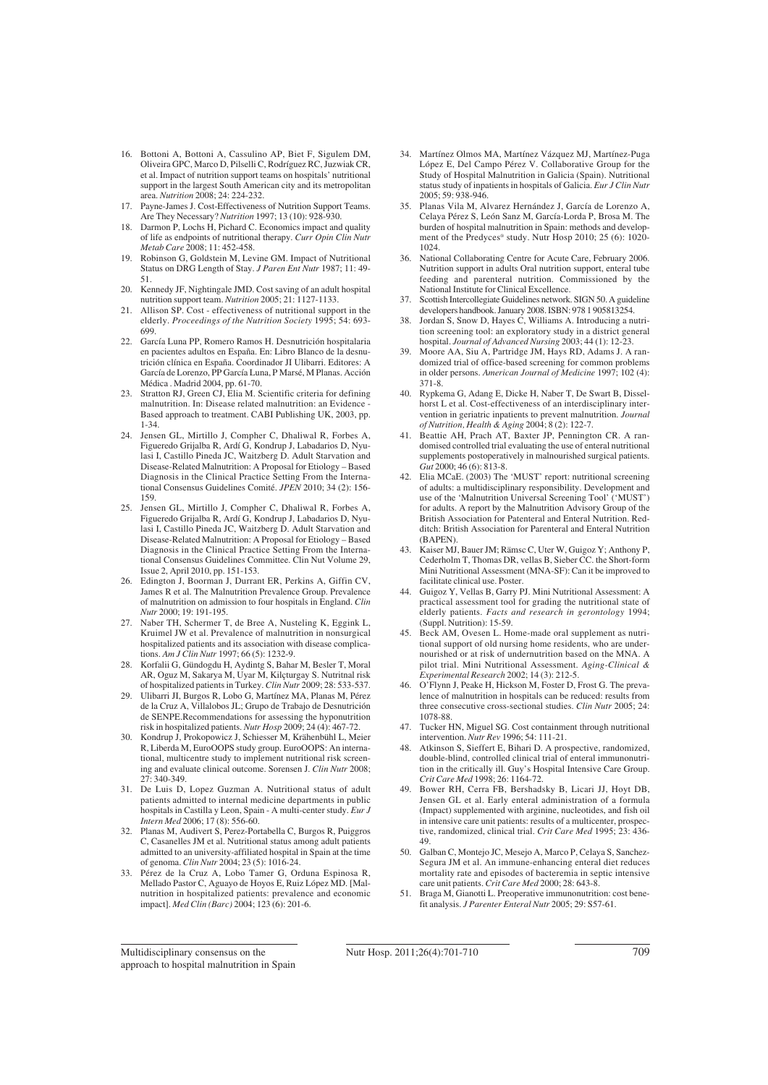- 16. Bottoni A, Bottoni A, Cassulino AP, Biet F, Sigulem DM, Oliveira GPC, Marco D, Pilselli C, Rodríguez RC, Juzwiak CR, et al. Impact of nutrition support teams on hospitals' nutritional support in the largest South American city and its metropolitan area. *Nutrition* 2008; 24: 224-232.
- 17. Payne-James J. Cost-Effectiveness of Nutrition Support Teams. Are They Necessary? *Nutrition* 1997; 13 (10): 928-930.
- 18. Darmon P, Lochs H, Pichard C. Economics impact and quality of life as endpoints of nutritional therapy. *Curr Opin Clin Nutr Metab Care* 2008; 11: 452-458.
- 19. Robinson G, Goldstein M, Levine GM. Impact of Nutritional Status on DRG Length of Stay. *J Paren Ent Nutr* 1987; 11: 49- 51.
- 20. Kennedy JF, Nightingale JMD. Cost saving of an adult hospital nutrition support team. *Nutrition* 2005; 21: 1127-1133.
- 21. Allison SP. Cost effectiveness of nutritional support in the elderly. *Proceedings of the Nutrition Society* 1995; 54: 693- 699.
- 22. García Luna PP, Romero Ramos H. Desnutrición hospitalaria en pacientes adultos en España. En: Libro Blanco de la desnutrición clínica en España. Coordinador JI Ulibarri. Editores: A García de Lorenzo, PP García Luna, P Marsé, M Planas. Acción Médica . Madrid 2004, pp. 61-70.
- Stratton RJ, Green CJ, Elia M. Scientific criteria for defining malnutrition. In: Disease related malnutrition: an Evidence Based approach to treatment. CABI Publishing UK, 2003, pp. 1-34.
- 24. Jensen GL, Mirtillo J, Compher C, Dhaliwal R, Forbes A, Figueredo Grijalba R, Ardí G, Kondrup J, Labadarios D, Nyulasi I, Castillo Pineda JC, Waitzberg D. Adult Starvation and Disease-Related Malnutrition: A Proposal for Etiology – Based Diagnosis in the Clinical Practice Setting From the International Consensus Guidelines Comité. *JPEN* 2010; 34 (2): 156- 159.
- 25. Jensen GL, Mirtillo J, Compher C, Dhaliwal R, Forbes A, Figueredo Grijalba R, Ardí G, Kondrup J, Labadarios D, Nyulasi I, Castillo Pineda JC, Waitzberg D. Adult Starvation and Disease-Related Malnutrition: A Proposal for Etiology – Based Diagnosis in the Clinical Practice Setting From the International Consensus Guidelines Committee. Clin Nut Volume 29, Issue 2, April 2010, pp. 151-153.
- 26. Edington J, Boorman J, Durrant ER, Perkins A, Giffin CV, James R et al. The Malnutrition Prevalence Group. Prevalence of malnutrition on admission to four hospitals in England. *Clin Nutr* 2000; 19: 191-195.
- 27. Naber TH, Schermer T, de Bree A, Nusteling K, Eggink L, Kruimel JW et al. Prevalence of malnutrition in nonsurgical hospitalized patients and its association with disease complications. *Am J Clin Nutr* 1997; 66 (5): 1232-9.
- 28. Korfalii G, Gündogdu H, Aydintg S, Bahar M, Besler T, Moral AR, Oguz M, Sakarya M, Uyar M, Kilçturgay S. Nutritnal risk of hospitalized patients in Turkey. *Clin Nutr* 2009; 28: 533-537.
- 29. Ulibarri JI, Burgos R, Lobo G, Martínez MA, Planas M, Pérez de la Cruz A, Villalobos JL; Grupo de Trabajo de Desnutrición de SENPE.Recommendations for assessing the hyponutrition risk in hospitalized patients. *Nutr Hosp* 2009; 24 (4): 467-72.
- 30. Kondrup J, Prokopowicz J, Schiesser M, Krähenbühl L, Meier R, Liberda M, EuroOOPS study group. EuroOOPS: An international, multicentre study to implement nutritional risk screening and evaluate clinical outcome. Sorensen J. *Clin Nutr* 2008; 27: 340-349.
- 31. De Luis D, Lopez Guzman A. Nutritional status of adult patients admitted to internal medicine departments in public hospitals in Castilla y Leon, Spain - A multi-center study. *Eur J Intern Med* 2006; 17 (8): 556-60.
- 32. Planas M, Audivert S, Perez-Portabella C, Burgos R, Puiggros C, Casanelles JM et al. Nutritional status among adult patients admitted to an university-affiliated hospital in Spain at the time of genoma. *Clin Nutr* 2004; 23 (5): 1016-24.
- 33. Pérez de la Cruz A, Lobo Tamer G, Orduna Espinosa R, Mellado Pastor C, Aguayo de Hoyos E, Ruiz López MD. [Malnutrition in hospitalized patients: prevalence and economic impact]. *Med Clin (Barc)* 2004; 123 (6): 201-6.
- 34. Martínez Olmos MA, Martínez Vázquez MJ, Martínez-Puga López E, Del Campo Pérez V. Collaborative Group for the Study of Hospital Malnutrition in Galicia (Spain). Nutritional status study of inpatients in hospitals of Galicia. *Eur J Clin Nutr* 2005; 59: 938-946.
- 35. Planas Vila M, Alvarez Hernández J, García de Lorenzo A, Celaya Pérez S, León Sanz M, García-Lorda P, Brosa M. The burden of hospital malnutrition in Spain: methods and development of the Predyces® study. Nutr Hosp 2010; 25 (6): 1020- 1024.
- 36. National Collaborating Centre for Acute Care, February 2006. Nutrition support in adults Oral nutrition support, enteral tube feeding and parenteral nutrition. Commissioned by the National Institute for Clinical Excellence.
- Scottish Intercollegiate Guidelines network. SIGN 50. A guideline developers handbook. January 2008. ISBN: 978 1 905813254.
- 38. Jordan S, Snow D, Hayes C, Williams A. Introducing a nutrition screening tool: an exploratory study in a district general hospital. *Journal of Advanced Nursing* 2003; 44 (1): 12-23.
- 39. Moore AA, Siu A, Partridge JM, Hays RD, Adams J. A randomized trial of office-based screening for common problems in older persons. *American Journal of Medicine* 1997; 102 (4): 371-8.
- 40. Rypkema G, Adang E, Dicke H, Naber T, De Swart B, Disselhorst L et al. Cost-effectiveness of an interdisciplinary intervention in geriatric inpatients to prevent malnutrition. *Journal of Nutrition, Health & Aging* 2004; 8 (2): 122-7.
- 41. Beattie AH, Prach AT, Baxter JP, Pennington CR. A randomised controlled trial evaluating the use of enteral nutritional supplements postoperatively in malnourished surgical patients. *Gut* 2000; 46 (6): 813-8.
- 42. Elia MCaE. (2003) The 'MUST' report: nutritional screening of adults: a multidisciplinary responsibility. Development and use of the 'Malnutrition Universal Screening Tool' ('MUST') for adults. A report by the Malnutrition Advisory Group of the British Association for Patenteral and Enteral Nutrition. Redditch: British Association for Parenteral and Enteral Nutrition (BAPEN).
- 43. Kaiser MJ, Bauer JM; Rämsc C, Uter W, Guigoz Y; Anthony P, Cederholm T, Thomas DR, vellas B, Sieber CC. the Short-form Mini Nutritional Assessment (MNA-SF): Can it be improved to facilitate clinical use. Poster.
- 44. Guigoz Y, Vellas B, Garry PJ. Mini Nutritional Assessment: A practical assessment tool for grading the nutritional state of elderly patients. *Facts and research in gerontology* 1994; (Suppl. Nutrition): 15-59.
- 45. Beck AM, Ovesen L. Home-made oral supplement as nutritional support of old nursing home residents, who are undernourished or at risk of undernutrition based on the MNA. A pilot trial. Mini Nutritional Assessment. *Aging-Clinical & Experimental Research* 2002; 14 (3): 212-5.
- 46. O'Flynn J, Peake H, Hickson M, Foster D, Frost G. The prevalence of malnutrition in hospitals can be reduced: results from three consecutive cross-sectional studies. *Clin Nutr* 2005; 24: 1078-88.
- 47. Tucker HN, Miguel SG. Cost containment through nutritional intervention. *Nutr Rev* 1996; 54: 111-21.
- 48. Atkinson S, Sieffert E, Bihari D. A prospective, randomized, double-blind, controlled clinical trial of enteral immunonutrition in the critically ill. Guy's Hospital Intensive Care Group. *Crit Care Med* 1998; 26: 1164-72.
- 49. Bower RH, Cerra FB, Bershadsky B, Licari JJ, Hoyt DB, Jensen GL et al. Early enteral administration of a formula (Impact) supplemented with arginine, nucleotides, and fish oil in intensive care unit patients: results of a multicenter, prospective, randomized, clinical trial. *Crit Care Med* 1995; 23: 436- 49.
- 50. Galban C, Montejo JC, Mesejo A, Marco P, Celaya S, Sanchez-Segura JM et al. An immune-enhancing enteral diet reduces mortality rate and episodes of bacteremia in septic intensive care unit patients. *Crit Care Med* 2000; 28: 643-8.
- 51. Braga M, Gianotti L. Preoperative immunonutrition: cost benefit analysis. *J Parenter Enteral Nutr* 2005; 29: S57-61.

Multidisciplinary consensus on the approach to hospital malnutrition in Spain Nutr Hosp. 2011;26(4):701-710 709